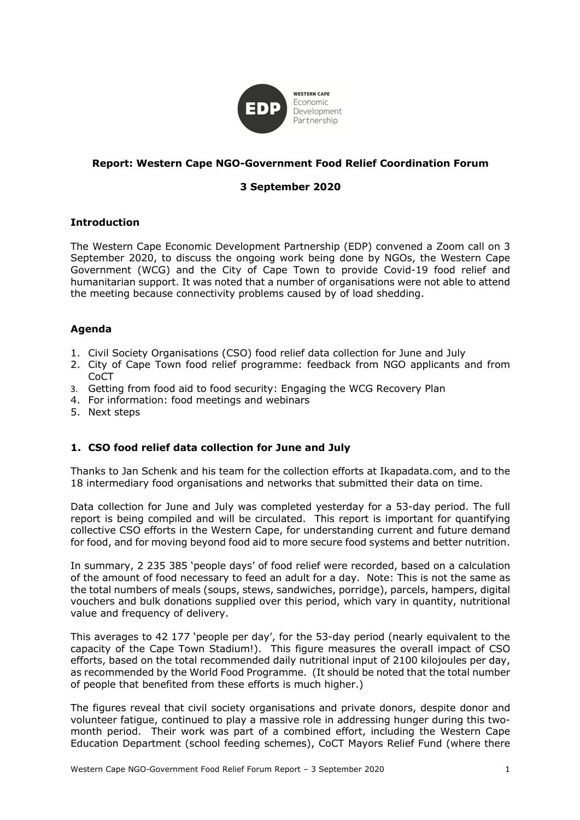

## **Report: Western Cape NGO-Government Food Relief Coordination Forum**

# **3 September 2020**

### **Introduction**

The Western Cape Economic Development Partnership (EDP) convened a Zoom call on 3 September 2020, to discuss the ongoing work being done by NGOs, the Western Cape Government (WCG) and the City of Cape Town to provide Covid-19 food relief and humanitarian support. It was noted that a number of organisations were not able to attend the meeting because connectivity problems caused by of load shedding.

## **Agenda**

- 1. Civil Society Organisations (CSO) food relief data collection for June and July
- 2. City of Cape Town food relief programme: feedback from NGO applicants and from CoCT
- 3. Getting from food aid to food security: Engaging the WCG Recovery Plan
- 4. For information: food meetings and webinars
- 5. Next steps

## **1. CSO food relief data collection for June and July**

Thanks to Jan Schenk and his team for the collection efforts at Ikapadata.com, and to the 18 intermediary food organisations and networks that submitted their data on time.

Data collection for June and July was completed yesterday for a 53-day period. The full report is being compiled and will be circulated. This report is important for quantifying collective CSO efforts in the Western Cape, for understanding current and future demand for food, and for moving beyond food aid to more secure food systems and better nutrition.

In summary, 2 235 385 'people days' of food relief were recorded, based on a calculation of the amount of food necessary to feed an adult for a day. Note: This is not the same as the total numbers of meals (soups, stews, sandwiches, porridge), parcels, hampers, digital vouchers and bulk donations supplied over this period, which vary in quantity, nutritional value and frequency of delivery.

This averages to 42 177 'people per day', for the 53-day period (nearly equivalent to the capacity of the Cape Town Stadium!). This figure measures the overall impact of CSO efforts, based on the total recommended daily nutritional input of 2100 kilojoules per day, as recommended by the World Food Programme. (It should be noted that the total number of people that benefited from these efforts is much higher.)

The figures reveal that civil society organisations and private donors, despite donor and volunteer fatigue, continued to play a massive role in addressing hunger during this twomonth period. Their work was part of a combined effort, including the Western Cape Education Department (school feeding schemes), CoCT Mayors Relief Fund (where there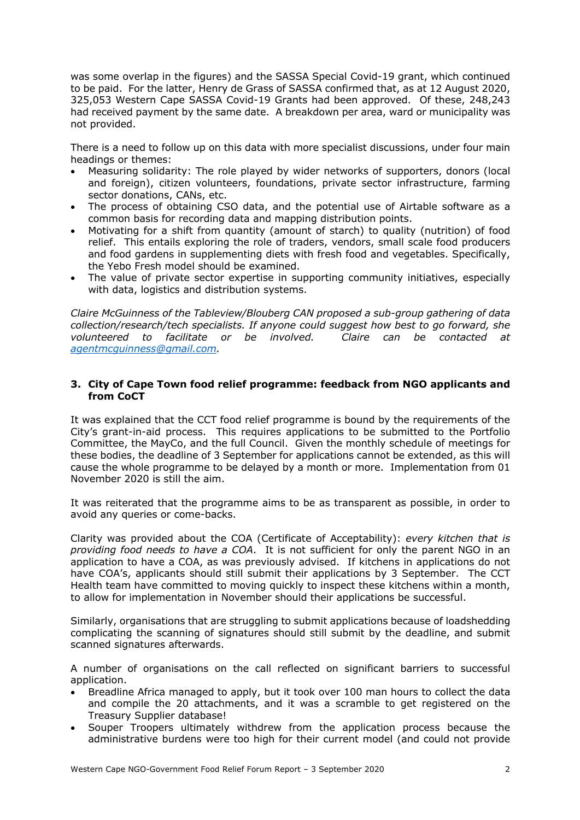was some overlap in the figures) and the SASSA Special Covid-19 grant, which continued to be paid. For the latter, Henry de Grass of SASSA confirmed that, as at 12 August 2020, 325,053 Western Cape SASSA Covid-19 Grants had been approved. Of these, 248,243 had received payment by the same date. A breakdown per area, ward or municipality was not provided.

There is a need to follow up on this data with more specialist discussions, under four main headings or themes:

- Measuring solidarity: The role played by wider networks of supporters, donors (local and foreign), citizen volunteers, foundations, private sector infrastructure, farming sector donations, CANs, etc.
- The process of obtaining CSO data, and the potential use of Airtable software as a common basis for recording data and mapping distribution points.
- Motivating for a shift from quantity (amount of starch) to quality (nutrition) of food relief. This entails exploring the role of traders, vendors, small scale food producers and food gardens in supplementing diets with fresh food and vegetables. Specifically, the Yebo Fresh model should be examined.
- The value of private sector expertise in supporting community initiatives, especially with data, logistics and distribution systems.

*Claire McGuinness of the Tableview/Blouberg CAN proposed a sub-group gathering of data collection/research/tech specialists. If anyone could suggest how best to go forward, she volunteered to facilitate or be involved. Claire can be contacted at agentmcguinness@gmail.com.* 

### **3. City of Cape Town food relief programme: feedback from NGO applicants and from CoCT**

It was explained that the CCT food relief programme is bound by the requirements of the City's grant-in-aid process. This requires applications to be submitted to the Portfolio Committee, the MayCo, and the full Council. Given the monthly schedule of meetings for these bodies, the deadline of 3 September for applications cannot be extended, as this will cause the whole programme to be delayed by a month or more. Implementation from 01 November 2020 is still the aim.

It was reiterated that the programme aims to be as transparent as possible, in order to avoid any queries or come-backs.

Clarity was provided about the COA (Certificate of Acceptability): *every kitchen that is providing food needs to have a COA*. It is not sufficient for only the parent NGO in an application to have a COA, as was previously advised. If kitchens in applications do not have COA's, applicants should still submit their applications by 3 September. The CCT Health team have committed to moving quickly to inspect these kitchens within a month, to allow for implementation in November should their applications be successful.

Similarly, organisations that are struggling to submit applications because of loadshedding complicating the scanning of signatures should still submit by the deadline, and submit scanned signatures afterwards.

A number of organisations on the call reflected on significant barriers to successful application.

- Breadline Africa managed to apply, but it took over 100 man hours to collect the data and compile the 20 attachments, and it was a scramble to get registered on the Treasury Supplier database!
- Souper Troopers ultimately withdrew from the application process because the administrative burdens were too high for their current model (and could not provide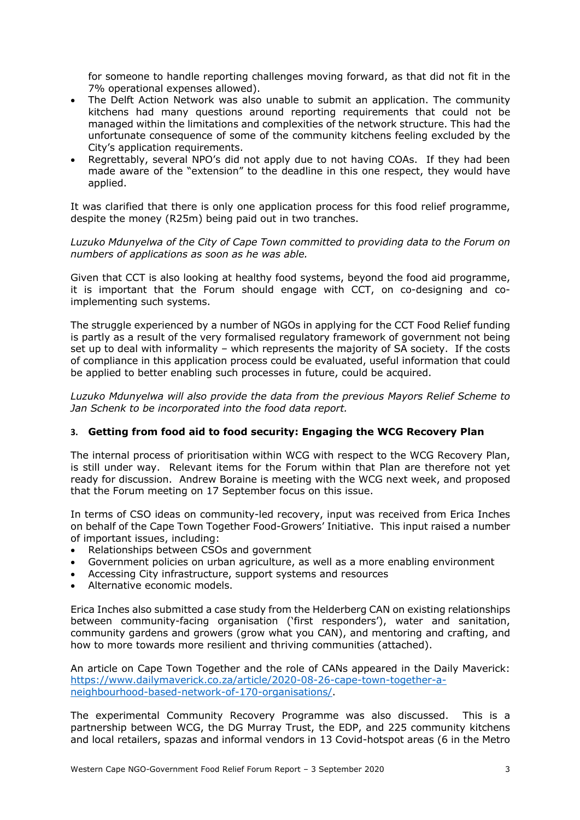for someone to handle reporting challenges moving forward, as that did not fit in the 7% operational expenses allowed).

- The Delft Action Network was also unable to submit an application. The community kitchens had many questions around reporting requirements that could not be managed within the limitations and complexities of the network structure. This had the unfortunate consequence of some of the community kitchens feeling excluded by the City's application requirements.
- Regrettably, several NPO's did not apply due to not having COAs. If they had been made aware of the "extension" to the deadline in this one respect, they would have applied.

It was clarified that there is only one application process for this food relief programme, despite the money (R25m) being paid out in two tranches.

*Luzuko Mdunyelwa of the City of Cape Town committed to providing data to the Forum on numbers of applications as soon as he was able.* 

Given that CCT is also looking at healthy food systems, beyond the food aid programme, it is important that the Forum should engage with CCT, on co-designing and coimplementing such systems.

The struggle experienced by a number of NGOs in applying for the CCT Food Relief funding is partly as a result of the very formalised regulatory framework of government not being set up to deal with informality – which represents the majority of SA society. If the costs of compliance in this application process could be evaluated, useful information that could be applied to better enabling such processes in future, could be acquired.

*Luzuko Mdunyelwa will also provide the data from the previous Mayors Relief Scheme to Jan Schenk to be incorporated into the food data report.*

#### **3. Getting from food aid to food security: Engaging the WCG Recovery Plan**

The internal process of prioritisation within WCG with respect to the WCG Recovery Plan, is still under way. Relevant items for the Forum within that Plan are therefore not yet ready for discussion. Andrew Boraine is meeting with the WCG next week, and proposed that the Forum meeting on 17 September focus on this issue.

In terms of CSO ideas on community-led recovery, input was received from Erica Inches on behalf of the Cape Town Together Food-Growers' Initiative. This input raised a number of important issues, including:

- Relationships between CSOs and government
- Government policies on urban agriculture, as well as a more enabling environment
- Accessing City infrastructure, support systems and resources
- Alternative economic models.

Erica Inches also submitted a case study from the Helderberg CAN on existing relationships between community-facing organisation ('first responders'), water and sanitation, community gardens and growers (grow what you CAN), and mentoring and crafting, and how to more towards more resilient and thriving communities (attached).

An article on Cape Town Together and the role of CANs appeared in the Daily Maverick: https://www.dailymaverick.co.za/article/2020-08-26-cape-town-together-aneighbourhood-based-network-of-170-organisations/.

The experimental Community Recovery Programme was also discussed. This is a partnership between WCG, the DG Murray Trust, the EDP, and 225 community kitchens and local retailers, spazas and informal vendors in 13 Covid-hotspot areas (6 in the Metro